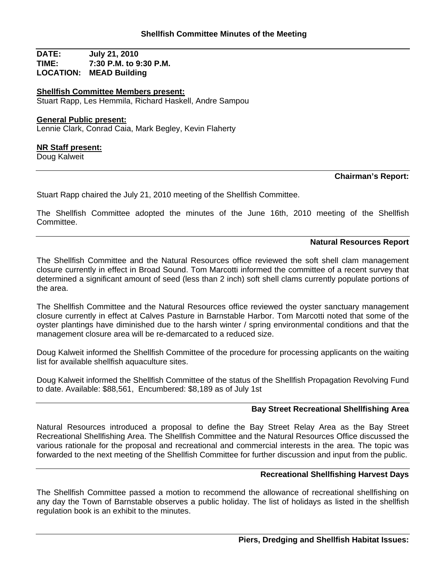**DATE: July 21, 2010 TIME: 7:30 P.M. to 9:30 P.M. LOCATION: MEAD Building**

**Shellfish Committee Members present:** Stuart Rapp, Les Hemmila, Richard Haskell, Andre Sampou

## **General Public present:**

Lennie Clark, Conrad Caia, Mark Begley, Kevin Flaherty

#### **NR Staff present:**

Doug Kalweit

# **Chairman's Report:**

Stuart Rapp chaired the July 21, 2010 meeting of the Shellfish Committee.

The Shellfish Committee adopted the minutes of the June 16th, 2010 meeting of the Shellfish Committee.

## **Natural Resources Report**

The Shellfish Committee and the Natural Resources office reviewed the soft shell clam management closure currently in effect in Broad Sound. Tom Marcotti informed the committee of a recent survey that determined a significant amount of seed (less than 2 inch) soft shell clams currently populate portions of the area.

The Shellfish Committee and the Natural Resources office reviewed the oyster sanctuary management closure currently in effect at Calves Pasture in Barnstable Harbor. Tom Marcotti noted that some of the oyster plantings have diminished due to the harsh winter / spring environmental conditions and that the management closure area will be re-demarcated to a reduced size.

Doug Kalweit informed the Shellfish Committee of the procedure for processing applicants on the waiting list for available shellfish aquaculture sites.

Doug Kalweit informed the Shellfish Committee of the status of the Shellfish Propagation Revolving Fund to date. Available: \$88,561, Encumbered: \$8,189 as of July 1st

# **Bay Street Recreational Shellfishing Area**

Natural Resources introduced a proposal to define the Bay Street Relay Area as the Bay Street Recreational Shellfishing Area. The Shellfish Committee and the Natural Resources Office discussed the various rationale for the proposal and recreational and commercial interests in the area. The topic was forwarded to the next meeting of the Shellfish Committee for further discussion and input from the public.

## **Recreational Shellfishing Harvest Days**

The Shellfish Committee passed a motion to recommend the allowance of recreational shellfishing on any day the Town of Barnstable observes a public holiday. The list of holidays as listed in the shellfish regulation book is an exhibit to the minutes.